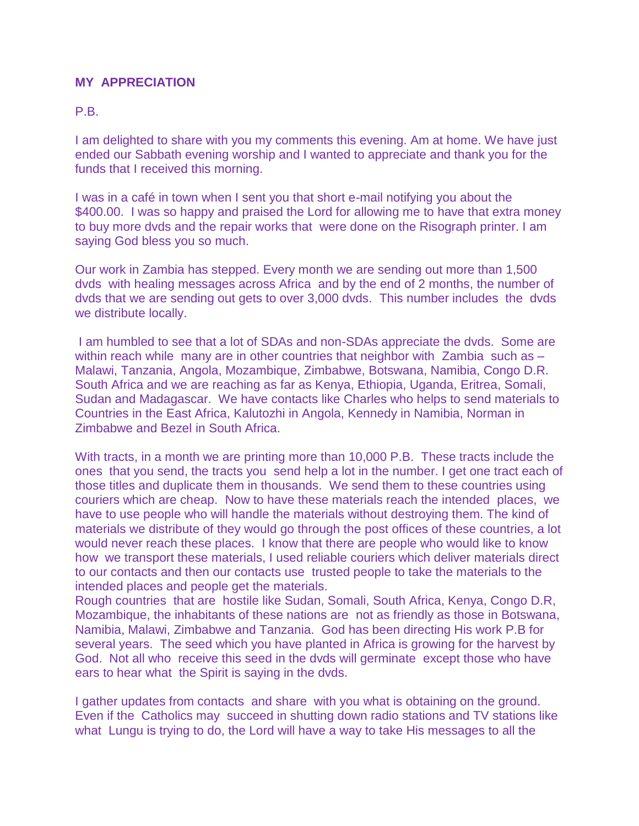## **MY APPRECIATION**

## P<sub>R</sub>

I am delighted to share with you my comments this evening. Am at home. We have just ended our Sabbath evening worship and I wanted to appreciate and thank you for the funds that I received this morning.

I was in a café in town when I sent you that short e-mail notifying you about the \$400.00. I was so happy and praised the Lord for allowing me to have that extra money to buy more dvds and the repair works that were done on the Risograph printer. I am saying God bless you so much.

Our work in Zambia has stepped. Every month we are sending out more than 1,500 dvds with healing messages across Africa and by the end of 2 months, the number of dvds that we are sending out gets to over 3,000 dvds. This number includes the dvds we distribute locally.

I am humbled to see that a lot of SDAs and non-SDAs appreciate the dvds. Some are within reach while many are in other countries that neighbor with Zambia such as – Malawi, Tanzania, Angola, Mozambique, Zimbabwe, Botswana, Namibia, Congo D.R. South Africa and we are reaching as far as Kenya, Ethiopia, Uganda, Eritrea, Somali, Sudan and Madagascar. We have contacts like Charles who helps to send materials to Countries in the East Africa, Kalutozhi in Angola, Kennedy in Namibia, Norman in Zimbabwe and Bezel in South Africa.

With tracts, in a month we are printing more than 10,000 P.B. These tracts include the ones that you send, the tracts you send help a lot in the number. I get one tract each of those titles and duplicate them in thousands. We send them to these countries using couriers which are cheap. Now to have these materials reach the intended places, we have to use people who will handle the materials without destroying them. The kind of materials we distribute of they would go through the post offices of these countries, a lot would never reach these places. I know that there are people who would like to know how we transport these materials, I used reliable couriers which deliver materials direct to our contacts and then our contacts use trusted people to take the materials to the intended places and people get the materials.

Rough countries that are hostile like Sudan, Somali, South Africa, Kenya, Congo D.R, Mozambique, the inhabitants of these nations are not as friendly as those in Botswana, Namibia, Malawi, Zimbabwe and Tanzania. God has been directing His work P.B for several years. The seed which you have planted in Africa is growing for the harvest by God. Not all who receive this seed in the dvds will germinate except those who have ears to hear what the Spirit is saying in the dvds.

I gather updates from contacts and share with you what is obtaining on the ground. Even if the Catholics may succeed in shutting down radio stations and TV stations like what Lungu is trying to do, the Lord will have a way to take His messages to all the